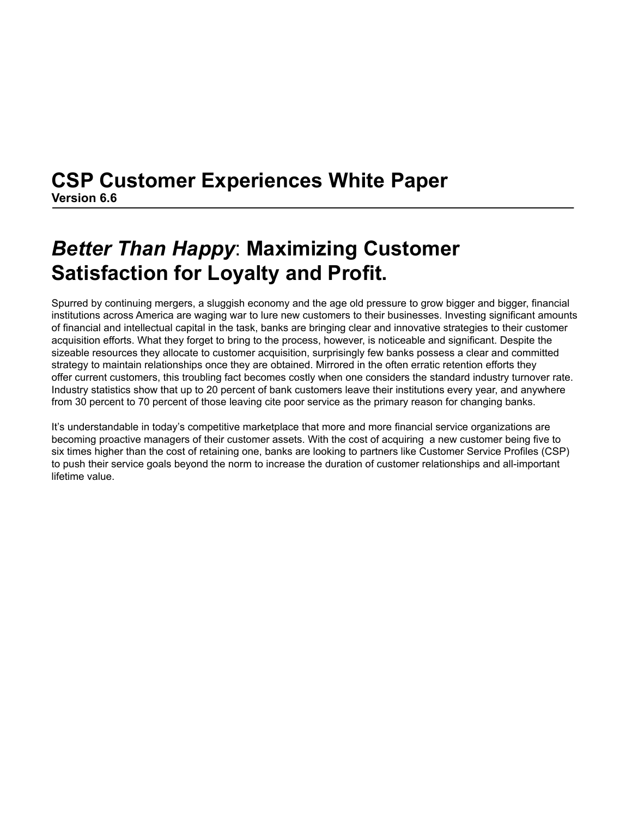# **CSP Customer Experiences White Paper Version 6.6**

# *Better Than Happy*: **Maximizing Customer Satisfaction for Loyalty and Profit.**

Spurred by continuing mergers, a sluggish economy and the age old pressure to grow bigger and bigger, financial institutions across America are waging war to lure new customers to their businesses. Investing significant amounts of financial and intellectual capital in the task, banks are bringing clear and innovative strategies to their customer acquisition efforts. What they forget to bring to the process, however, is noticeable and significant. Despite the sizeable resources they allocate to customer acquisition, surprisingly few banks possess a clear and committed strategy to maintain relationships once they are obtained. Mirrored in the often erratic retention efforts they offer current customers, this troubling fact becomes costly when one considers the standard industry turnover rate. Industry statistics show that up to 20 percent of bank customers leave their institutions every year, and anywhere from 30 percent to 70 percent of those leaving cite poor service as the primary reason for changing banks.

It's understandable in today's competitive marketplace that more and more financial service organizations are becoming proactive managers of their customer assets. With the cost of acquiring a new customer being five to six times higher than the cost of retaining one, banks are looking to partners like Customer Service Profiles (CSP) to push their service goals beyond the norm to increase the duration of customer relationships and all-important lifetime value.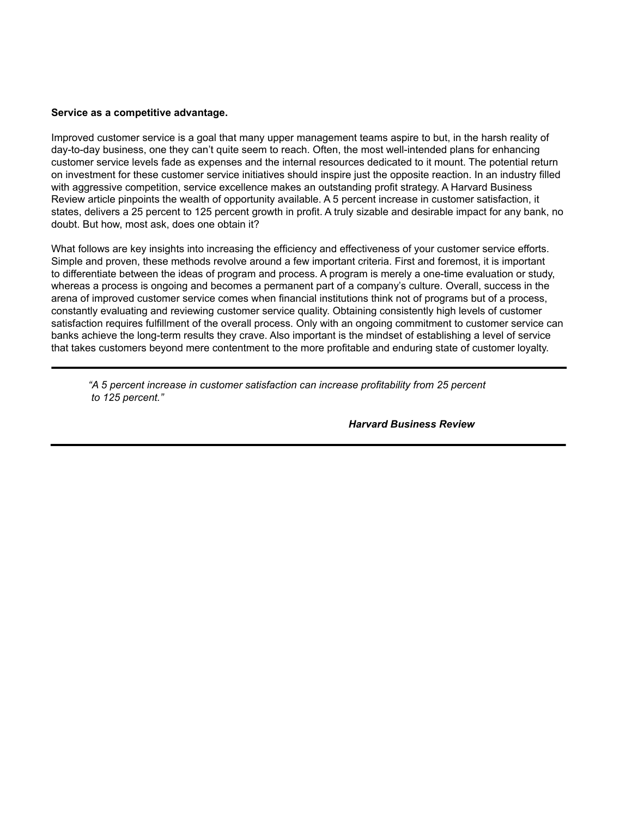#### **Service as a competitive advantage.**

Improved customer service is a goal that many upper management teams aspire to but, in the harsh reality of day-to-day business, one they can't quite seem to reach. Often, the most well-intended plans for enhancing customer service levels fade as expenses and the internal resources dedicated to it mount. The potential return on investment for these customer service initiatives should inspire just the opposite reaction. In an industry filled with aggressive competition, service excellence makes an outstanding profit strategy. A Harvard Business Review article pinpoints the wealth of opportunity available. A 5 percent increase in customer satisfaction, it states, delivers a 25 percent to 125 percent growth in profit. A truly sizable and desirable impact for any bank, no doubt. But how, most ask, does one obtain it?

What follows are key insights into increasing the efficiency and effectiveness of your customer service efforts. Simple and proven, these methods revolve around a few important criteria. First and foremost, it is important to differentiate between the ideas of program and process. A program is merely a one-time evaluation or study, whereas a process is ongoing and becomes a permanent part of a company's culture. Overall, success in the arena of improved customer service comes when financial institutions think not of programs but of a process, constantly evaluating and reviewing customer service quality. Obtaining consistently high levels of customer satisfaction requires fulfillment of the overall process. Only with an ongoing commitment to customer service can banks achieve the long-term results they crave. Also important is the mindset of establishing a level of service that takes customers beyond mere contentment to the more profitable and enduring state of customer loyalty.

 *"A 5 percent increase in customer satisfaction can increase profitability from 25 percent to 125 percent."*

 *Harvard Business Review*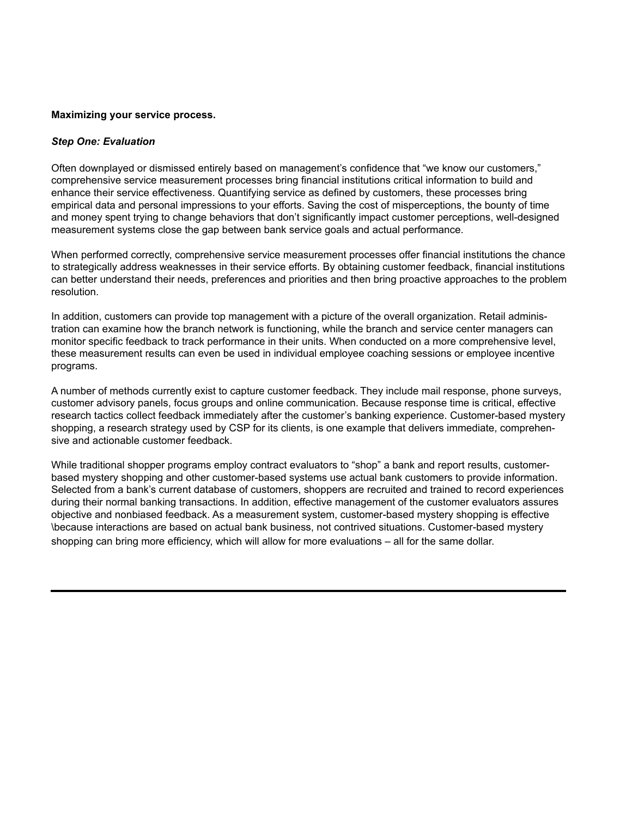#### **Maximizing your service process.**

#### *Step One: Evaluation*

Often downplayed or dismissed entirely based on management's confidence that "we know our customers," comprehensive service measurement processes bring financial institutions critical information to build and enhance their service effectiveness. Quantifying service as defined by customers, these processes bring empirical data and personal impressions to your efforts. Saving the cost of misperceptions, the bounty of time and money spent trying to change behaviors that don't significantly impact customer perceptions, well-designed measurement systems close the gap between bank service goals and actual performance.

When performed correctly, comprehensive service measurement processes offer financial institutions the chance to strategically address weaknesses in their service efforts. By obtaining customer feedback, financial institutions can better understand their needs, preferences and priorities and then bring proactive approaches to the problem resolution.

In addition, customers can provide top management with a picture of the overall organization. Retail administration can examine how the branch network is functioning, while the branch and service center managers can monitor specific feedback to track performance in their units. When conducted on a more comprehensive level, these measurement results can even be used in individual employee coaching sessions or employee incentive programs.

A number of methods currently exist to capture customer feedback. They include mail response, phone surveys, customer advisory panels, focus groups and online communication. Because response time is critical, effective research tactics collect feedback immediately after the customer's banking experience. Customer-based mystery shopping, a research strategy used by CSP for its clients, is one example that delivers immediate, comprehensive and actionable customer feedback.

While traditional shopper programs employ contract evaluators to "shop" a bank and report results, customerbased mystery shopping and other customer-based systems use actual bank customers to provide information. Selected from a bank's current database of customers, shoppers are recruited and trained to record experiences during their normal banking transactions. In addition, effective management of the customer evaluators assures objective and nonbiased feedback. As a measurement system, customer-based mystery shopping is effective \because interactions are based on actual bank business, not contrived situations. Customer-based mystery shopping can bring more efficiency, which will allow for more evaluations – all for the same dollar.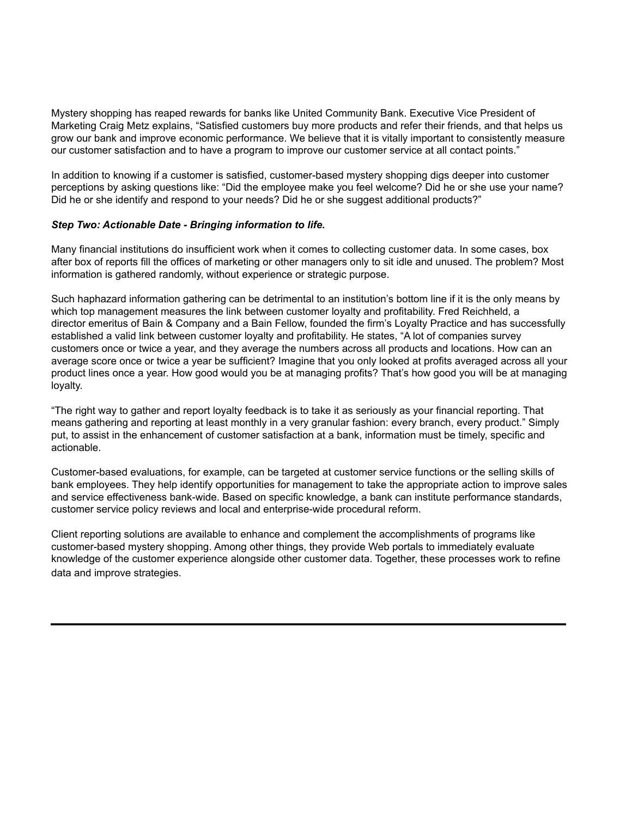Mystery shopping has reaped rewards for banks like United Community Bank. Executive Vice President of Marketing Craig Metz explains, "Satisfied customers buy more products and refer their friends, and that helps us grow our bank and improve economic performance. We believe that it is vitally important to consistently measure our customer satisfaction and to have a program to improve our customer service at all contact points."

In addition to knowing if a customer is satisfied, customer-based mystery shopping digs deeper into customer perceptions by asking questions like: "Did the employee make you feel welcome? Did he or she use your name? Did he or she identify and respond to your needs? Did he or she suggest additional products?"

### *Step Two: Actionable Date - Bringing information to life.*

Many financial institutions do insufficient work when it comes to collecting customer data. In some cases, box after box of reports fill the offices of marketing or other managers only to sit idle and unused. The problem? Most information is gathered randomly, without experience or strategic purpose.

Such haphazard information gathering can be detrimental to an institution's bottom line if it is the only means by which top management measures the link between customer loyalty and profitability. Fred Reichheld, a director emeritus of Bain & Company and a Bain Fellow, founded the firm's Loyalty Practice and has successfully established a valid link between customer loyalty and profitability. He states, "A lot of companies survey customers once or twice a year, and they average the numbers across all products and locations. How can an average score once or twice a year be sufficient? Imagine that you only looked at profits averaged across all your product lines once a year. How good would you be at managing profits? That's how good you will be at managing loyalty.

"The right way to gather and report loyalty feedback is to take it as seriously as your financial reporting. That means gathering and reporting at least monthly in a very granular fashion: every branch, every product." Simply put, to assist in the enhancement of customer satisfaction at a bank, information must be timely, specific and actionable.

Customer-based evaluations, for example, can be targeted at customer service functions or the selling skills of bank employees. They help identify opportunities for management to take the appropriate action to improve sales and service effectiveness bank-wide. Based on specific knowledge, a bank can institute performance standards, customer service policy reviews and local and enterprise-wide procedural reform.

Client reporting solutions are available to enhance and complement the accomplishments of programs like customer-based mystery shopping. Among other things, they provide Web portals to immediately evaluate knowledge of the customer experience alongside other customer data. Together, these processes work to refine data and improve strategies.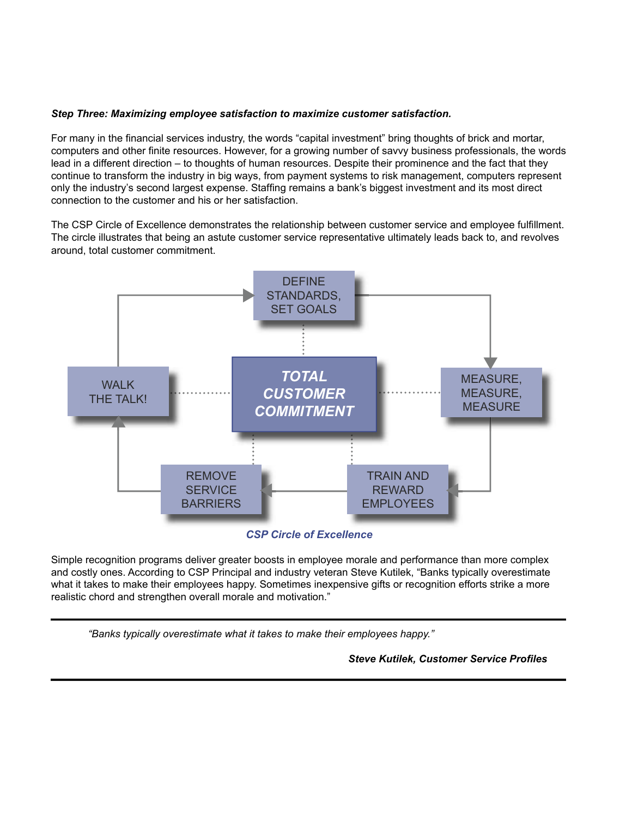## *Step Three: Maximizing employee satisfaction to maximize customer satisfaction.*

For many in the financial services industry, the words "capital investment" bring thoughts of brick and mortar, computers and other finite resources. However, for a growing number of savvy business professionals, the words lead in a different direction – to thoughts of human resources. Despite their prominence and the fact that they continue to transform the industry in big ways, from payment systems to risk management, computers represent only the industry's second largest expense. Staffing remains a bank's biggest investment and its most direct connection to the customer and his or her satisfaction.

The CSP Circle of Excellence demonstrates the relationship between customer service and employee fulfillment. The circle illustrates that being an astute customer service representative ultimately leads back to, and revolves around, total customer commitment.



*CSP Circle of Excellence*

Simple recognition programs deliver greater boosts in employee morale and performance than more complex and costly ones. According to CSP Principal and industry veteran Steve Kutilek, "Banks typically overestimate what it takes to make their employees happy. Sometimes inexpensive gifts or recognition efforts strike a more realistic chord and strengthen overall morale and motivation."

*"Banks typically overestimate what it takes to make their employees happy."*

 *Steve Kutilek, Customer Service Profi les*